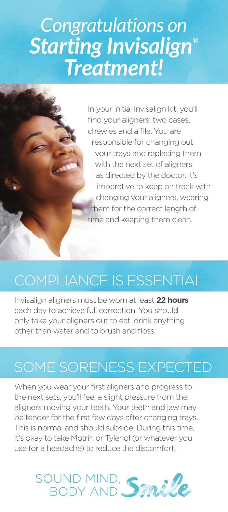# *Congratulations on Starting Invisalign® Treatment!*

In your initial Invisalign kit, you'll find your aligners, two cases, chewies and a file. You are responsible for changing out your trays and replacing them with the next set of aligners as directed by the doctor. It's imperative to keep on track with changing your aligners, wearing them for the correct length of time and keeping them clean.

# COMPLIANCE IS ESSENTIAL

Invisalign aligners must be worn at least **22 hours** each day to achieve full correction. You should only take your aligners out to eat, drink anything other than water and to brush and floss.

# SOME SORENESS EXPECTED

When you wear your first aligners and progress to the next sets, you'll feel a slight pressure from the aligners moving your teeth. Your teeth and jaw may be tender for the first few days after changing trays. This is normal and should subside. During this time, it's okay to take Motrin or Tylenol (or whatever you use for a headache) to reduce the discomfort.